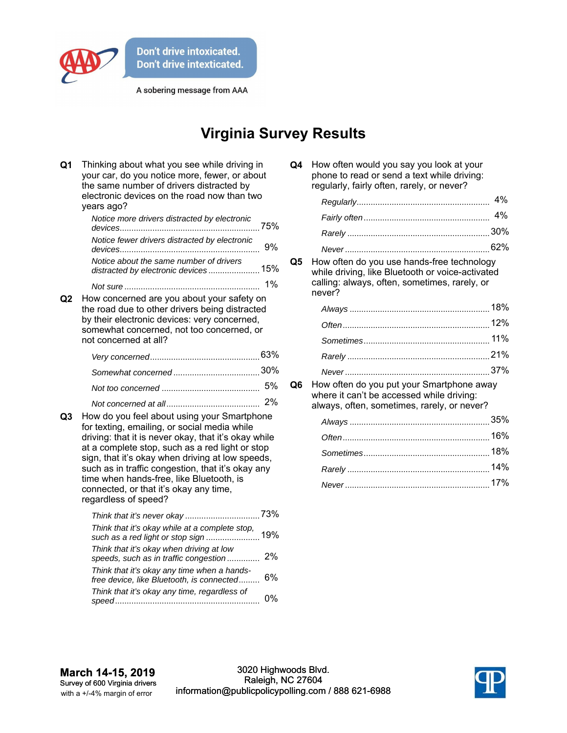

A sobering message from AAA

## **Virginia Survey Results**

| Q <sub>1</sub> | Thinking about what you see while driving in<br>your car, do you notice more, fewer, or about<br>the same number of drivers distracted by<br>electronic devices on the road now than two<br>years ago?                                                                                                                                                                |                                                            |  |
|----------------|-----------------------------------------------------------------------------------------------------------------------------------------------------------------------------------------------------------------------------------------------------------------------------------------------------------------------------------------------------------------------|------------------------------------------------------------|--|
|                | Notice more drivers distracted by electronic                                                                                                                                                                                                                                                                                                                          |                                                            |  |
|                | Notice fewer drivers distracted by electronic                                                                                                                                                                                                                                                                                                                         | 9%                                                         |  |
|                | Notice about the same number of drivers<br>distracted by electronic devices15%                                                                                                                                                                                                                                                                                        |                                                            |  |
|                |                                                                                                                                                                                                                                                                                                                                                                       | 1%                                                         |  |
| Q2             | How concerned are you about your safety on<br>the road due to other drivers being distracted<br>by their electronic devices: very concerned,<br>somewhat concerned, not too concerned, or<br>not concerned at all?                                                                                                                                                    |                                                            |  |
|                |                                                                                                                                                                                                                                                                                                                                                                       |                                                            |  |
|                |                                                                                                                                                                                                                                                                                                                                                                       |                                                            |  |
|                |                                                                                                                                                                                                                                                                                                                                                                       | 5%                                                         |  |
| Q3             | How do you feel about using your Smartphone<br>for texting, emailing, or social media while<br>at a complete stop, such as a red light or stop<br>sign, that it's okay when driving at low speeds,<br>such as in traffic congestion, that it's okay any<br>time when hands-free, like Bluetooth, is<br>connected, or that it's okay any time,<br>regardless of speed? | 2%<br>driving: that it is never okay, that it's okay while |  |
|                | Think that it's okay while at a complete stop,                                                                                                                                                                                                                                                                                                                        |                                                            |  |
|                | Think that it's okay when driving at low<br>speeds, such as in traffic congestion                                                                                                                                                                                                                                                                                     | 2%                                                         |  |
|                | Think that it's okay any time when a hands-<br>free device, like Bluetooth, is connected                                                                                                                                                                                                                                                                              | 6%                                                         |  |
|                | Think that it's okay any time, regardless of                                                                                                                                                                                                                                                                                                                          | 0%                                                         |  |

| Q4 | How often would you say you look at your    |
|----|---------------------------------------------|
|    | phone to read or send a text while driving: |
|    | regularly, fairly often, rarely, or never?  |

**Q5** How often do you use hands-free technology while driving, like Bluetooth or voice-activated calling: always, often, sometimes, rarely, or never?

**Q6** How often do you put your Smartphone away where it can't be accessed while driving: always, often, sometimes, rarely, or never?